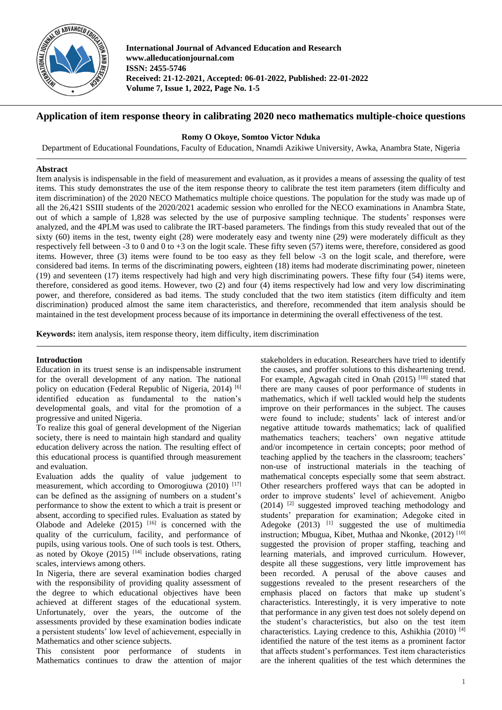

**International Journal of Advanced Education and Research www.alleducationjournal.com ISSN: 2455-5746 Received: 21-12-2021, Accepted: 06-01-2022, Published: 22-01-2022 Volume 7, Issue 1, 2022, Page No. 1-5**

# **Application of item response theory in calibrating 2020 neco mathematics multiple-choice questions**

# **Romy O Okoye, Somtoo Victor Nduka**

Department of Educational Foundations, Faculty of Education, Nnamdi Azikiwe University, Awka, Anambra State, Nigeria

### **Abstract**

Item analysis is indispensable in the field of measurement and evaluation, as it provides a means of assessing the quality of test items. This study demonstrates the use of the item response theory to calibrate the test item parameters (item difficulty and item discrimination) of the 2020 NECO Mathematics multiple choice questions. The population for the study was made up of all the 26,421 SSIII students of the 2020/2021 academic session who enrolled for the NECO examinations in Anambra State, out of which a sample of 1,828 was selected by the use of purposive sampling technique. The students' responses were analyzed, and the 4PLM was used to calibrate the IRT-based parameters. The findings from this study revealed that out of the sixty (60) items in the test, twenty eight (28) were moderately easy and twenty nine (29) were moderately difficult as they respectively fell between -3 to 0 and 0 to +3 on the logit scale. These fifty seven (57) items were, therefore, considered as good items. However, three (3) items were found to be too easy as they fell below -3 on the logit scale, and therefore, were considered bad items. In terms of the discriminating powers, eighteen (18) items had moderate discriminating power, nineteen (19) and seventeen (17) items respectively had high and very high discriminating powers. These fifty four (54) items were, therefore, considered as good items. However, two (2) and four (4) items respectively had low and very low discriminating power, and therefore, considered as bad items. The study concluded that the two item statistics (item difficulty and item discrimination) produced almost the same item characteristics, and therefore, recommended that item analysis should be maintained in the test development process because of its importance in determining the overall effectiveness of the test.

**Keywords:** item analysis, item response theory, item difficulty, item discrimination

# **Introduction**

Education in its truest sense is an indispensable instrument for the overall development of any nation. The national policy on education (Federal Republic of Nigeria, 2014)<sup>[6]</sup> identified education as fundamental to the nation's developmental goals, and vital for the promotion of a progressive and united Nigeria.

To realize this goal of general development of the Nigerian society, there is need to maintain high standard and quality education delivery across the nation. The resulting effect of this educational process is quantified through measurement and evaluation.

Evaluation adds the quality of value judgement to measurement, which according to Omorogiuwa  $(2010)$ <sup>[17]</sup> can be defined as the assigning of numbers on a student's performance to show the extent to which a trait is present or absent, according to specified rules. Evaluation as stated by Olabode and Adeleke  $(2015)$ <sup>[16]</sup> is concerned with the quality of the curriculum, facility, and performance of pupils, using various tools. One of such tools is test. Others, as noted by Okoye  $(2015)$  [14] include observations, rating scales, interviews among others.

In Nigeria, there are several examination bodies charged with the responsibility of providing quality assessment of the degree to which educational objectives have been achieved at different stages of the educational system. Unfortunately, over the years, the outcome of the assessments provided by these examination bodies indicate a persistent students' low level of achievement, especially in Mathematics and other science subjects.

This consistent poor performance of students in Mathematics continues to draw the attention of major

stakeholders in education. Researchers have tried to identify the causes, and proffer solutions to this disheartening trend. For example, Agwagah cited in Onah (2015)<sup>[18]</sup> stated that there are many causes of poor performance of students in mathematics, which if well tackled would help the students improve on their performances in the subject. The causes were found to include; students' lack of interest and/or negative attitude towards mathematics; lack of qualified mathematics teachers; teachers' own negative attitude and/or incompetence in certain concepts; poor method of teaching applied by the teachers in the classroom; teachers' non-use of instructional materials in the teaching of mathematical concepts especially some that seem abstract. Other researchers proffered ways that can be adopted in order to improve students' level of achievement. Anigbo  $(2014)$ <sup>[2]</sup> suggested improved teaching methodology and students' preparation for examination; Adegoke cited in Adegoke  $(2013)$  <sup>[1]</sup> suggested the use of multimedia instruction; Mbugua, Kibet, Muthaa and Nkonke, (2012)<sup>[10]</sup> suggested the provision of proper staffing, teaching and learning materials, and improved curriculum. However, despite all these suggestions, very little improvement has been recorded. A perusal of the above causes and suggestions revealed to the present researchers of the emphasis placed on factors that make up student's characteristics. Interestingly, it is very imperative to note that performance in any given test does not solely depend on the student's characteristics, but also on the test item characteristics. Laying credence to this, Ashikhia  $(2010)$ <sup>[4]</sup> identified the nature of the test items as a prominent factor that affects student's performances. Test item characteristics are the inherent qualities of the test which determines the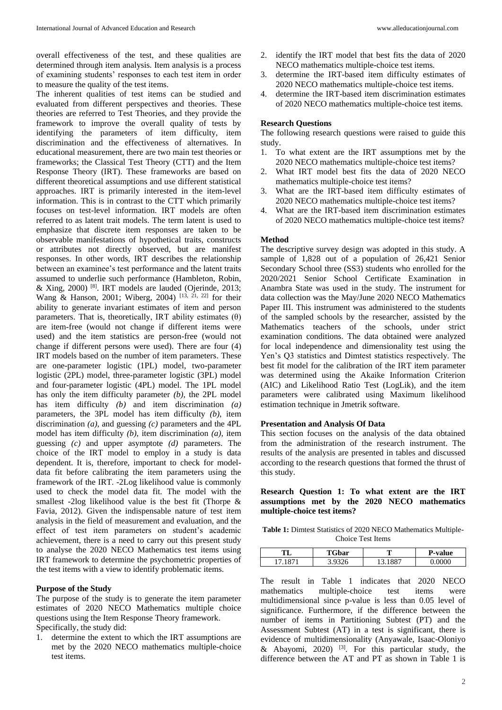overall effectiveness of the test, and these qualities are determined through item analysis. Item analysis is a process of examining students' responses to each test item in order to measure the quality of the test items.

The inherent qualities of test items can be studied and evaluated from different perspectives and theories. These theories are referred to Test Theories, and they provide the framework to improve the overall quality of tests by identifying the parameters of item difficulty, item discrimination and the effectiveness of alternatives. In educational measurement, there are two main test theories or frameworks; the Classical Test Theory (CTT) and the Item Response Theory (IRT). These frameworks are based on different theoretical assumptions and use different statistical approaches. IRT is primarily interested in the item-level information. This is in contrast to the CTT which primarily focuses on test-level information. IRT models are often referred to as latent trait models. The term latent is used to emphasize that discrete item responses are taken to be observable manifestations of hypothetical traits, constructs or attributes not directly observed, but are manifest responses. In other words, IRT describes the relationship between an examinee's test performance and the latent traits assumed to underlie such performance (Hambleton, Robin, & Xing, 2000) [8]. IRT models are lauded (Ojerinde, 2013; Wang & Hanson, 2001; Wiberg, 2004) [13, 21, 22] for their ability to generate invariant estimates of item and person parameters. That is, theoretically, IRT ability estimates  $(\theta)$ are item-free (would not change if different items were used) and the item statistics are person-free (would not change if different persons were used). There are four (4) IRT models based on the number of item parameters. These are one-parameter logistic (1PL) model, two-parameter logistic (2PL) model, three-parameter logistic (3PL) model and four-parameter logistic (4PL) model. The 1PL model has only the item difficulty parameter *(b)*, the 2PL model has item difficulty *(b)* and item discrimination *(a)* parameters, the 3PL model has item difficulty *(b)*, item discrimination *(a)*, and guessing *(c)* parameters and the 4PL model has item difficulty *(b)*, item discrimination *(a)*, item guessing *(c)* and upper asymptote *(d)* parameters. The choice of the IRT model to employ in a study is data dependent. It is, therefore, important to check for modeldata fit before calibrating the item parameters using the framework of the IRT. -2Log likelihood value is commonly used to check the model data fit. The model with the smallest -2log likelihood value is the best fit (Thorpe & Favia, 2012). Given the indispensable nature of test item analysis in the field of measurement and evaluation, and the effect of test item parameters on student's academic achievement, there is a need to carry out this present study to analyse the 2020 NECO Mathematics test items using IRT framework to determine the psychometric properties of the test items with a view to identify problematic items.

#### **Purpose of the Study**

The purpose of the study is to generate the item parameter estimates of 2020 NECO Mathematics multiple choice questions using the Item Response Theory framework. Specifically, the study did:

1. determine the extent to which the IRT assumptions are met by the 2020 NECO mathematics multiple-choice test items.

- 2. identify the IRT model that best fits the data of 2020 NECO mathematics multiple-choice test items.
- 3. determine the IRT-based item difficulty estimates of 2020 NECO mathematics multiple-choice test items.
- 4. determine the IRT-based item discrimination estimates of 2020 NECO mathematics multiple-choice test items.

#### **Research Questions**

The following research questions were raised to guide this study.

- 1. To what extent are the IRT assumptions met by the 2020 NECO mathematics multiple-choice test items?
- 2. What IRT model best fits the data of 2020 NECO mathematics multiple-choice test items?
- 3. What are the IRT-based item difficulty estimates of 2020 NECO mathematics multiple-choice test items?
- 4. What are the IRT-based item discrimination estimates of 2020 NECO mathematics multiple-choice test items?

#### **Method**

The descriptive survey design was adopted in this study. A sample of 1,828 out of a population of 26,421 Senior Secondary School three (SS3) students who enrolled for the 2020/2021 Senior School Certificate Examination in Anambra State was used in the study. The instrument for data collection was the May/June 2020 NECO Mathematics Paper III. This instrument was administered to the students of the sampled schools by the researcher, assisted by the Mathematics teachers of the schools, under strict examination conditions. The data obtained were analyzed for local independence and dimensionality test using the Yen's Q3 statistics and Dimtest statistics respectively. The best fit model for the calibration of the IRT item parameter was determined using the Akaike Information Criterion (AIC) and Likelihood Ratio Test (LogLik), and the item parameters were calibrated using Maximum likelihood estimation technique in Jmetrik software.

#### **Presentation and Analysis Of Data**

This section focuses on the analysis of the data obtained from the administration of the research instrument. The results of the analysis are presented in tables and discussed according to the research questions that formed the thrust of this study.

### **Research Question 1: To what extent are the IRT assumptions met by the 2020 NECO mathematics multiple-choice test items?**

**Table 1:** Dimtest Statistics of 2020 NECO Mathematics Multiple-Choice Test Items

| TТ | ı'Gbar | m | <b>P-value</b> |
|----|--------|---|----------------|
|    |        |   | ᡕ᠗             |

The result in Table 1 indicates that 2020 NECO mathematics multiple-choice test items were multidimensional since p-value is less than 0.05 level of significance. Furthermore, if the difference between the number of items in Partitioning Subtest (PT) and the Assessment Subtest (AT) in a test is significant, there is evidence of multidimensionality (Anyawale, Isaac-Oloniyo & Abayomi, 2020)  $[3]$ . For this particular study, the difference between the AT and PT as shown in Table 1 is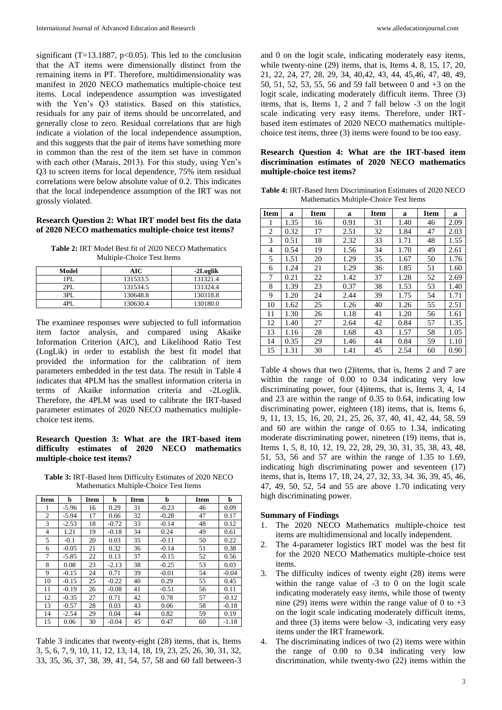significant (T=13.1887, p<0.05). This led to the conclusion that the AT items were dimensionally distinct from the remaining items in PT. Therefore, multidimensionality was manifest in 2020 NECO mathematics multiple-choice test items. Local independence assumption was investigated with the Yen's Q3 statistics. Based on this statistics, residuals for any pair of items should be uncorrelated, and generally close to zero. Residual correlations that are high indicate a violation of the local independence assumption, and this suggests that the pair of items have something more in common than the rest of the item set have in common with each other (Marais, 2013). For this study, using Yen's Q3 to screen items for local dependence, 75% item residual correlations were below absolute value of 0.2. This indicates that the local independence assumption of the IRT was not grossly violated.

### **Research Question 2: What IRT model best fits the data of 2020 NECO mathematics multiple-choice test items?**

**Table 2:** IRT Model Best fit of 2020 NECO Mathematics Multiple-Choice Test Items

| Model | AIC      | -2Loglik |
|-------|----------|----------|
| IPL   | 131533.5 | 131321.4 |
| 2PI.  | 131534.5 | 131324.4 |
| 3PL   | 130648.8 | 130318.8 |
|       | 130630.4 | 130180.0 |

The examinee responses were subjected to full information item factor analysis, and compared using Akaike Information Criterion (AIC), and Likelihood Ratio Test (LogLik) in order to establish the best fit model that provided the information for the calibration of item parameters embedded in the test data. The result in Table 4 indicates that 4PLM has the smallest information criteria in terms of Akaike information criteria and -2Loglik. Therefore, the 4PLM was used to calibrate the IRT-based parameter estimates of 2020 NECO mathematics multiplechoice test items.

# **Research Question 3: What are the IRT-based item difficulty estimates of 2020 NECO mathematics multiple-choice test items?**

**Table 3:** IRT-Based Item Difficulty Estimates of 2020 NECO Mathematics Multiple-Choice Test Items

| <b>Item</b>    | b       | <b>Item</b> | b       | <b>Item</b> | b       | <b>Item</b> | b       |
|----------------|---------|-------------|---------|-------------|---------|-------------|---------|
| 1              | $-5.96$ | 16          | 0.29    | 31          | $-0.23$ | 46          | 0.09    |
| $\overline{c}$ | $-5.94$ | 17          | 0.66    | 32          | $-0.28$ | 47          | 0.17    |
| 3              | $-2.53$ | 18          | $-0.72$ | 33          | $-0.14$ | 48          | 0.12    |
| 4              | 1.21    | 19          | $-0.18$ | 34          | 0.24    | 49          | 0.61    |
| 5              | $-0.1$  | 20          | 0.03    | 35          | $-0.11$ | 50          | 0.22    |
| 6              | $-0.05$ | 21          | 0.32    | 36          | $-0.14$ | 51          | 0.38    |
| 7              | $-5.85$ | 22          | 0.13    | 37          | $-0.15$ | 52          | 0.56    |
| 8              | 0.08    | 23          | $-2.13$ | 38          | $-0.25$ | 53          | 0.03    |
| 9              | $-0.15$ | 24          | 0.71    | 39          | $-0.01$ | 54          | $-0.04$ |
| 10             | $-0.15$ | 25          | $-0.22$ | 40          | 0.29    | 55          | 0.45    |
| 11             | $-0.19$ | 26          | $-0.08$ | 41          | $-0.51$ | 56          | 0.11    |
| 12             | $-0.35$ | 27          | 0.71    | 42          | 0.78    | 57          | $-0.12$ |
| 13             | $-0.57$ | 28          | 0.03    | 43          | 0.06    | 58          | $-0.18$ |
| 14             | $-2.54$ | 29          | 0.04    | 44          | 0.82    | 59          | 0.19    |
| 15             | 0.06    | 30          | $-0.04$ | 45          | 0.47    | 60          | $-1.18$ |

Table 3 indicates that twenty-eight (28) items, that is, Items 3, 5, 6, 7, 9, 10, 11, 12, 13, 14, 18, 19, 23, 25, 26, 30, 31, 32, 33, 35, 36, 37, 38, 39, 41, 54, 57, 58 and 60 fall between-3 and 0 on the logit scale, indicating moderately easy items, while twenty-nine (29) items, that is, Items 4, 8, 15, 17, 20, 21, 22, 24, 27, 28, 29, 34, 40,42, 43, 44, 45,46, 47, 48, 49, 50, 51, 52, 53, 55, 56 and 59 fall between 0 and +3 on the logit scale, indicating moderately difficult items. Three (3) items, that is, Items 1, 2 and 7 fall below -3 on the logit scale indicating very easy items. Therefore, under IRTbased item estimates of 2020 NECO mathematics multiplechoice test items, three (3) items were found to be too easy.

# **Research Question 4: What are the IRT-based item discrimination estimates of 2020 NECO mathematics multiple-choice test items?**

**Table 4:** IRT-Based Item Discrimination Estimates of 2020 NECO Mathematics Multiple-Choice Test Items

| <b>Item</b> | a    | <b>Item</b> | a    | <b>Item</b> | a    | <b>Item</b> | a    |
|-------------|------|-------------|------|-------------|------|-------------|------|
|             | 1.35 | 16          | 0.91 | 31          | 1.40 | 46          | 2.09 |
| 2           | 0.32 | 17          | 2.51 | 32          | 1.84 | 47          | 2.03 |
| 3           | 0.51 | 18          | 2.32 | 33          | 1.71 | 48          | 1.55 |
| 4           | 0.54 | 19          | 1.56 | 34          | 1.70 | 49          | 2.61 |
| 5           | 1.51 | 20          | 1.29 | 35          | 1.67 | 50          | 1.76 |
| 6           | 1.24 | 21          | 1.29 | 36          | 1.85 | 51          | 1.60 |
| 7           | 0.21 | 22          | 1.42 | 37          | 1.28 | 52          | 2.69 |
| 8           | 1.39 | 23          | 0.37 | 38          | 1.53 | 53          | 1.40 |
| 9           | 1.20 | 24          | 2.44 | 39          | 1.75 | 54          | 1.71 |
| 10          | 1.62 | 25          | 1.26 | 40          | 1.26 | 55          | 2.51 |
| 11          | 1.30 | 26          | 1.18 | 41          | 1.20 | 56          | 1.61 |
| 12          | 1.40 | 27          | 2.64 | 42          | 0.84 | 57          | 1.35 |
| 13          | 1.16 | 28          | 1.68 | 43          | 1.57 | 58          | 1.05 |
| 14          | 0.35 | 29          | 1.46 | 44          | 0.84 | 59          | 1.10 |
| 15          | 1.31 | 30          | 1.41 | 45          | 2.54 | 60          | 0.90 |

Table 4 shows that two (2)items, that is, Items 2 and 7 are within the range of 0.00 to 0.34 indicating very low discriminating power, four (4)items, that is, Items 3, 4, 14 and 23 are within the range of 0.35 to 0.64, indicating low discriminating power, eighteen (18) items, that is, Items 6, 9, 11, 13, 15, 16, 20, 21, 25, 26, 37, 40, 41, 42, 44, 58, 59 and 60 are within the range of 0.65 to 1.34, indicating moderate discriminating power, nineteen (19) items, that is, Items 1, 5, 8, 10, 12, 19, 22, 28, 29, 30, 31, 35, 38, 43, 48, 51, 53, 56 and 57 are within the range of 1.35 to 1.69, indicating high discriminating power and seventeen (17) items, that is, Items 17, 18, 24, 27, 32, 33, 34. 36, 39, 45, 46, 47, 49, 50, 52, 54 and 55 are above 1.70 indicating very high discriminating power.

# **Summary of Findings**

- 1. The 2020 NECO Mathematics multiple-choice test items are multidimensional and locally independent.
- 2. The 4-parameter logistics IRT model was the best fit for the 2020 NECO Mathematics multiple-choice test items.
- 3. The difficulty indices of twenty eight (28) items were within the range value of -3 to 0 on the logit scale indicating moderately easy items, while those of twenty nine (29) items were within the range value of 0 to  $+3$ on the logit scale indicating moderately difficult items, and three (3) items were below -3, indicating very easy items under the IRT framework.
- 4. The discriminating indices of two (2) items were within the range of 0.00 to 0.34 indicating very low discrimination, while twenty-two (22) items within the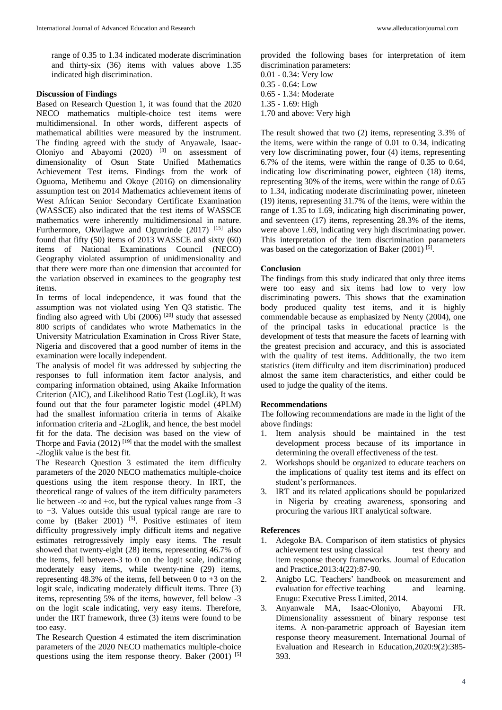range of 0.35 to 1.34 indicated moderate discrimination and thirty-six (36) items with values above 1.35 indicated high discrimination.

### **Discussion of Findings**

Based on Research Question 1, it was found that the 2020 NECO mathematics multiple-choice test items were multidimensional. In other words, different aspects of mathematical abilities were measured by the instrument. The finding agreed with the study of Anyawale, Isaac-Oloniyo and Abayomi  $(2020)$ <sup>[3]</sup> on assessment of dimensionality of Osun State Unified Mathematics Achievement Test items. Findings from the work of Oguoma, Metibemu and Okoye (2016) on dimensionality assumption test on 2014 Mathematics achievement items of West African Senior Secondary Certificate Examination (WASSCE) also indicated that the test items of WASSCE mathematics were inherently multidimensional in nature. Furthermore, Okwilagwe and Ogunrinde  $(2017)$ <sup>[15]</sup> also found that fifty (50) items of 2013 WASSCE and sixty (60) items of National Examinations Council (NECO) Geography violated assumption of unidimensionality and that there were more than one dimension that accounted for the variation observed in examinees to the geography test items.

In terms of local independence, it was found that the assumption was not violated using Yen Q3 statistic. The finding also agreed with Ubi  $(2006)$ <sup>[20]</sup> study that assessed 800 scripts of candidates who wrote Mathematics in the University Matriculation Examination in Cross River State, Nigeria and discovered that a good number of items in the examination were locally independent.

The analysis of model fit was addressed by subjecting the responses to full information item factor analysis, and comparing information obtained, using Akaike Information Criterion (AIC), and Likelihood Ratio Test (LogLik), It was found out that the four parameter logistic model (4PLM) had the smallest information criteria in terms of Akaike information criteria and -2Loglik, and hence, the best model fit for the data. The decision was based on the view of Thorpe and Favia  $(2012)$ <sup>[19]</sup> that the model with the smallest -2loglik value is the best fit.

The Research Question 3 estimated the item difficulty parameters of the 2020 NECO mathematics multiple-choice questions using the item response theory. In IRT, the theoretical range of values of the item difficulty parameters lie between -∞ and +∞, but the typical values range from -3 to +3. Values outside this usual typical range are rare to come by (Baker 2001) <sup>[5]</sup>. Positive estimates of item difficulty progressively imply difficult items and negative estimates retrogressively imply easy items. The result showed that twenty-eight (28) items, representing 46.7% of the items, fell between-3 to 0 on the logit scale, indicating moderately easy items, while twenty-nine (29) items, representing 48.3% of the items, fell between 0 to  $+3$  on the logit scale, indicating moderately difficult items. Three (3) items, representing 5% of the items, however, fell below -3 on the logit scale indicating, very easy items. Therefore, under the IRT framework, three (3) items were found to be too easy.

The Research Question 4 estimated the item discrimination parameters of the 2020 NECO mathematics multiple-choice questions using the item response theory. Baker  $(2001)$ <sup>[5]</sup>

provided the following bases for interpretation of item discrimination parameters:

0.01 - 0.34: Very low 0.35 - 0.64: Low 0.65 - 1.34: Moderate 1.35 - 1.69: High 1.70 and above: Very high

The result showed that two (2) items, representing 3.3% of the items, were within the range of 0.01 to 0.34, indicating very low discriminating power, four (4) items, representing 6.7% of the items, were within the range of 0.35 to 0.64, indicating low discriminating power, eighteen (18) items, representing 30% of the items, were within the range of 0.65 to 1.34, indicating moderate discriminating power, nineteen (19) items, representing 31.7% of the items, were within the range of 1.35 to 1.69, indicating high discriminating power, and seventeen (17) items, representing 28.3% of the items, were above 1.69, indicating very high discriminating power. This interpretation of the item discrimination parameters was based on the categorization of Baker (2001)<sup>[5]</sup>.

### **Conclusion**

The findings from this study indicated that only three items were too easy and six items had low to very low discriminating powers. This shows that the examination body produced quality test items, and it is highly commendable because as emphasized by Nenty (2004), one of the principal tasks in educational practice is the development of tests that measure the facets of learning with the greatest precision and accuracy, and this is associated with the quality of test items. Additionally, the two item statistics (item difficulty and item discrimination) produced almost the same item characteristics, and either could be used to judge the quality of the items.

# **Recommendations**

The following recommendations are made in the light of the above findings:

- 1. Item analysis should be maintained in the test development process because of its importance in determining the overall effectiveness of the test.
- 2. Workshops should be organized to educate teachers on the implications of quality test items and its effect on student's performances.
- 3. IRT and its related applications should be popularized in Nigeria by creating awareness, sponsoring and procuring the various IRT analytical software.

#### **References**

- 1. Adegoke BA. Comparison of item statistics of physics achievement test using classical test theory and item response theory frameworks. Journal of Education and Practice,2013:4(22):87-90.
- 2. Anigbo LC. Teachers' handbook on measurement and evaluation for effective teaching and learning. Enugu: Executive Press Limited, 2014.
- 3. Anyanwale MA, Isaac-Oloniyo, Abayomi FR. Dimensionality assessment of binary response test items. A non-parametric approach of Bayesian item response theory measurement. International Journal of Evaluation and Research in Education,2020:9(2):385- 393.